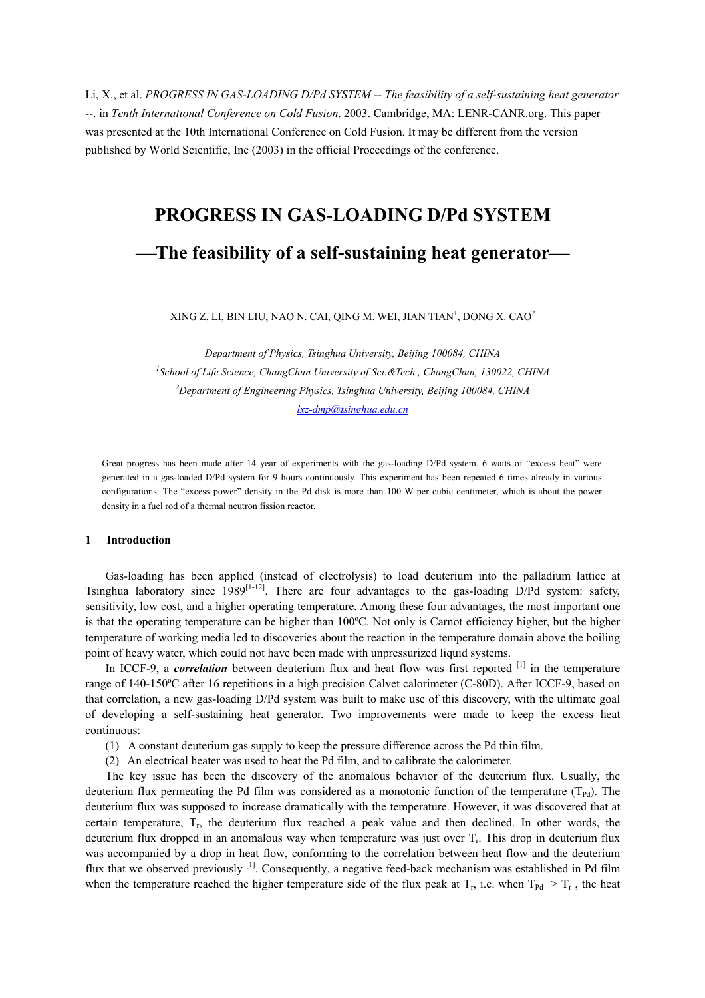Li, X., et al. *PROGRESS IN GAS-LOADING D/Pd SYSTEM -- The feasibility of a self-sustaining heat generator --*. in *Tenth International Conference on Cold Fusion*. 2003. Cambridge, MA: LENR-CANR.org. This paper was presented at the 10th International Conference on Cold Fusion. It may be different from the version published by World Scientific, Inc (2003) in the official Proceedings of the conference.

# **PROGRESS IN GAS-LOADING D/Pd SYSTEM The feasibility of a self-sustaining heat generator**

XING Z. LI, BIN LIU, NAO N. CAI, QING M. WEI, JIAN TIAN $^{\rm l}$ , DONG X. CAO $^{\rm 2}$ 

*Department of Physics, Tsinghua University, Beijing 100084, CHINA 1 School of Life Science, ChangChun University of Sci.&Tech., ChangChun, 130022, CHINA 2 Department of Engineering Physics, Tsinghua University, Beijing 100084, CHINA [lxz-dmp@tsinghua.edu.cn](mailto:lxz-dmp@tsinghua.edu.cn)*

Great progress has been made after 14 year of experiments with the gas-loading D/Pd system. 6 watts of "excess heat" were generated in a gas-loaded D/Pd system for 9 hours continuously. This experiment has been repeated 6 times already in various configurations. The "excess power" density in the Pd disk is more than 100 W per cubic centimeter, which is about the power density in a fuel rod of a thermal neutron fission reactor.

## **1 Introduction**

Gas-loading has been applied (instead of electrolysis) to load deuterium into the palladium lattice at Tsinghua laboratory since 1989<sup>[1-12]</sup>. There are four advantages to the gas-loading D/Pd system: safety, sensitivity, low cost, and a higher operating temperature. Among these four advantages, the most important one is that the operating temperature can be higher than 100ºC. Not only is Carnot efficiency higher, but the higher temperature of working media led to discoveries about the reaction in the temperature domain above the boiling point of heavy water, which could not have been made with unpressurized liquid systems.

In ICCF-9, a *correlation* between deuterium flux and heat flow was first reported <sup>[1]</sup> in the temperature range of 140-150ºC after 16 repetitions in a high precision Calvet calorimeter (C-80D). After ICCF-9, based on that correlation, a new gas-loading D/Pd system was built to make use of this discovery, with the ultimate goal of developing a self-sustaining heat generator. Two improvements were made to keep the excess heat continuous:

- (1) A constant deuterium gas supply to keep the pressure difference across the Pd thin film.
- (2) An electrical heater was used to heat the Pd film, and to calibrate the calorimeter.

The key issue has been the discovery of the anomalous behavior of the deuterium flux. Usually, the deuterium flux permeating the Pd film was considered as a monotonic function of the temperature ( $T_{\text{Pd}}$ ). The deuterium flux was supposed to increase dramatically with the temperature. However, it was discovered that at certain temperature, T<sub>r</sub>, the deuterium flux reached a peak value and then declined. In other words, the deuterium flux dropped in an anomalous way when temperature was just over Tr. This drop in deuterium flux was accompanied by a drop in heat flow, conforming to the correlation between heat flow and the deuterium flux that we observed previously [1]. Consequently, a negative feed-back mechanism was established in Pd film when the temperature reached the higher temperature side of the flux peak at  $T_r$ , i.e. when  $T_{Pd} > T_r$ , the heat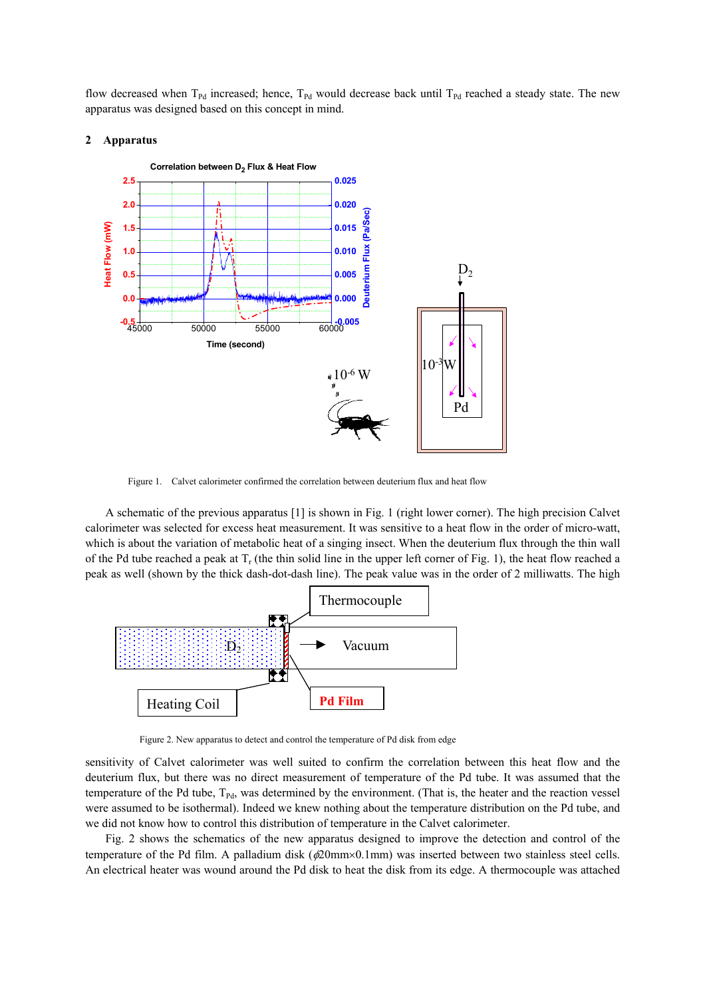flow decreased when  $T_{Pd}$  increased; hence,  $T_{Pd}$  would decrease back until  $T_{Pd}$  reached a steady state. The new apparatus was designed based on this concept in mind.

## **2 Apparatus**



Figure 1. Calvet calorimeter confirmed the correlation between deuterium flux and heat flow

A schematic of the previous apparatus [1] is shown in Fig. 1 (right lower corner). The high precision Calvet calorimeter was selected for excess heat measurement. It was sensitive to a heat flow in the order of micro-watt, which is about the variation of metabolic heat of a singing insect. When the deuterium flux through the thin wall of the Pd tube reached a peak at  $T_r$  (the thin solid line in the upper left corner of Fig. 1), the heat flow reached a peak as well (shown by the thick dash-dot-dash line). The peak value was in the order of 2 milliwatts. The high



Figure 2. New apparatus to detect and control the temperature of Pd disk from edge

sensitivity of Calvet calorimeter was well suited to confirm the correlation between this heat flow and the deuterium flux, but there was no direct measurement of temperature of the Pd tube. It was assumed that the temperature of the Pd tube,  $T_{Pd}$ , was determined by the environment. (That is, the heater and the reaction vessel were assumed to be isothermal). Indeed we knew nothing about the temperature distribution on the Pd tube, and we did not know how to control this distribution of temperature in the Calvet calorimeter.

Fig. 2 shows the schematics of the new apparatus designed to improve the detection and control of the temperature of the Pd film. A palladium disk (φ20mm×0.1mm) was inserted between two stainless steel cells. An electrical heater was wound around the Pd disk to heat the disk from its edge. A thermocouple was attached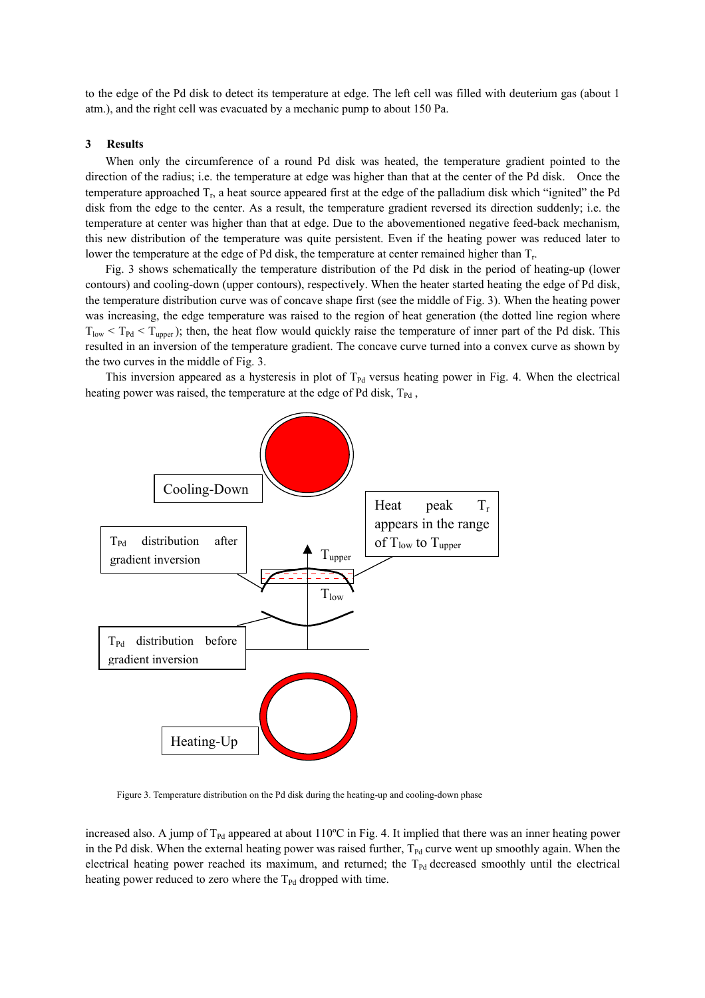to the edge of the Pd disk to detect its temperature at edge. The left cell was filled with deuterium gas (about 1 atm.), and the right cell was evacuated by a mechanic pump to about 150 Pa.

## **3 Results**

When only the circumference of a round Pd disk was heated, the temperature gradient pointed to the direction of the radius; i.e. the temperature at edge was higher than that at the center of the Pd disk. Once the temperature approached  $T_r$ , a heat source appeared first at the edge of the palladium disk which "ignited" the Pd disk from the edge to the center. As a result, the temperature gradient reversed its direction suddenly; i.e. the temperature at center was higher than that at edge. Due to the abovementioned negative feed-back mechanism, this new distribution of the temperature was quite persistent. Even if the heating power was reduced later to lower the temperature at the edge of Pd disk, the temperature at center remained higher than Tr.

Fig. 3 shows schematically the temperature distribution of the Pd disk in the period of heating-up (lower contours) and cooling-down (upper contours), respectively. When the heater started heating the edge of Pd disk, the temperature distribution curve was of concave shape first (see the middle of Fig. 3). When the heating power was increasing, the edge temperature was raised to the region of heat generation (the dotted line region where  $T_{\text{low}} < T_{\text{pd}} < T_{\text{unper}}$ ); then, the heat flow would quickly raise the temperature of inner part of the Pd disk. This resulted in an inversion of the temperature gradient. The concave curve turned into a convex curve as shown by the two curves in the middle of Fig. 3.

This inversion appeared as a hysteresis in plot of  $T_{\text{Pd}}$  versus heating power in Fig. 4. When the electrical heating power was raised, the temperature at the edge of Pd disk,  $T_{Pd}$ ,



Figure 3. Temperature distribution on the Pd disk during the heating-up and cooling-down phase

increased also. A jump of  $T_{Pd}$  appeared at about 110 $^{\circ}$ C in Fig. 4. It implied that there was an inner heating power in the Pd disk. When the external heating power was raised further,  $T_{\text{Pd}}$  curve went up smoothly again. When the electrical heating power reached its maximum, and returned; the  $T_{\text{Pd}}$  decreased smoothly until the electrical heating power reduced to zero where the  $T_{Pd}$  dropped with time.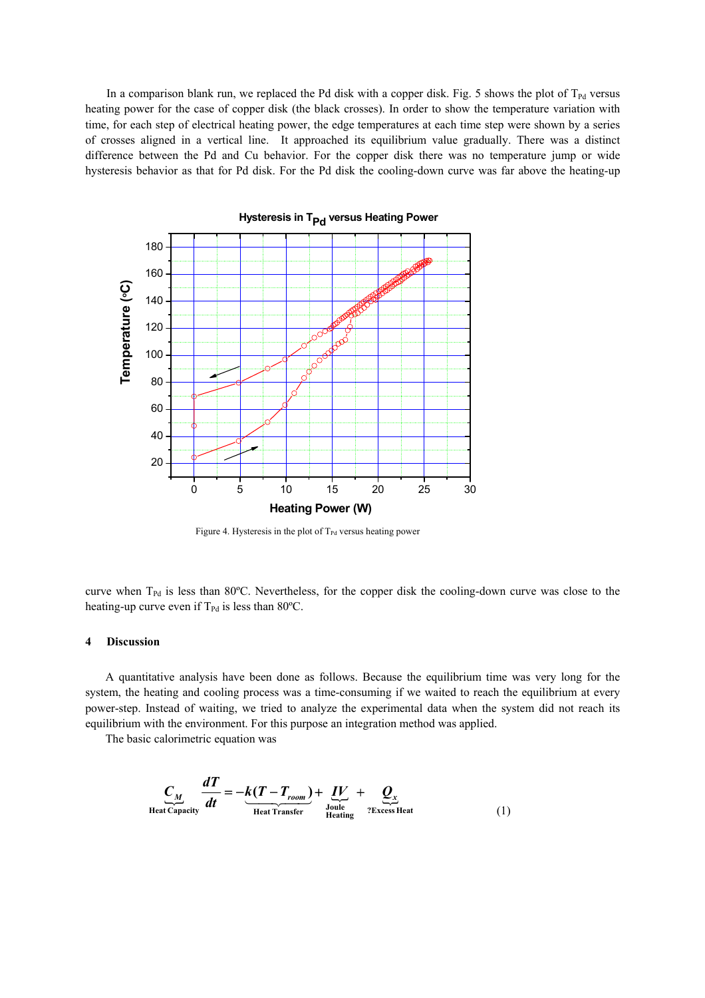In a comparison blank run, we replaced the Pd disk with a copper disk. Fig. 5 shows the plot of  $T_{Pd}$  versus heating power for the case of copper disk (the black crosses). In order to show the temperature variation with time, for each step of electrical heating power, the edge temperatures at each time step were shown by a series of crosses aligned in a vertical line. It approached its equilibrium value gradually. There was a distinct difference between the Pd and Cu behavior. For the copper disk there was no temperature jump or wide hysteresis behavior as that for Pd disk. For the Pd disk the cooling-down curve was far above the heating-up



Figure 4. Hysteresis in the plot of  $T_{Pd}$  versus heating power

curve when  $T_{Pd}$  is less than 80°C. Nevertheless, for the copper disk the cooling-down curve was close to the heating-up curve even if  $T_{\text{Pd}}$  is less than 80°C.

## **4 Discussion**

A quantitative analysis have been done as follows. Because the equilibrium time was very long for the system, the heating and cooling process was a time-consuming if we waited to reach the equilibrium at every power-step. Instead of waiting, we tried to analyze the experimental data when the system did not reach its equilibrium with the environment. For this purpose an integration method was applied.

The basic calorimetric equation was

$$
\underbrace{C_M}_{\text{Heat Capacity}} \frac{dT}{dt} = -\underbrace{k(T - T_{room})}_{\text{Heat Transfer}} + \underbrace{IV}_{\text{Joule}} + \underbrace{Q_x}_{? \text{Excess Heat}}
$$
(1)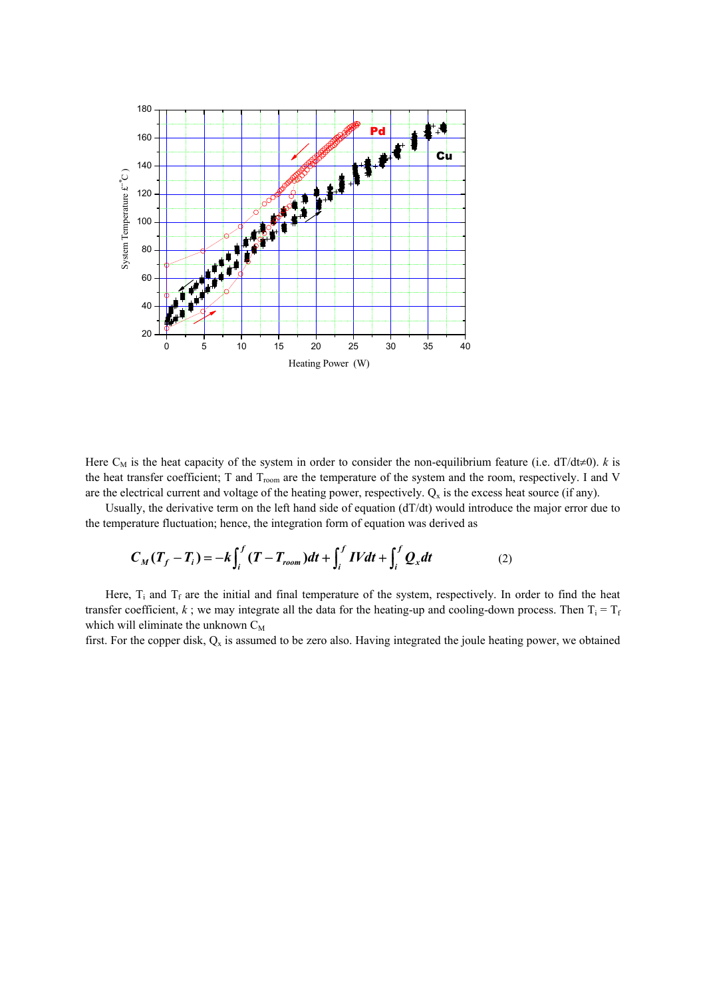

Here  $C_M$  is the heat capacity of the system in order to consider the non-equilibrium feature (i.e. dT/dt≠0). *k* is the heat transfer coefficient; T and  $T_{\text{room}}$  are the temperature of the system and the room, respectively. I and V are the electrical current and voltage of the heating power, respectively.  $Q_x$  is the excess heat source (if any).

Usually, the derivative term on the left hand side of equation (dT/dt) would introduce the major error due to the temperature fluctuation; hence, the integration form of equation was derived as

$$
C_M(T_f - T_i) = -k \int_i^f (T - T_{room}) dt + \int_i^f IV dt + \int_i^f Q_x dt
$$
 (2)

Here,  $T_i$  and  $T_f$  are the initial and final temperature of the system, respectively. In order to find the heat transfer coefficient,  $k$ ; we may integrate all the data for the heating-up and cooling-down process. Then  $T_i = T_f$ which will eliminate the unknown  $C_M$ 

first. For the copper disk,  $Q_x$  is assumed to be zero also. Having integrated the joule heating power, we obtained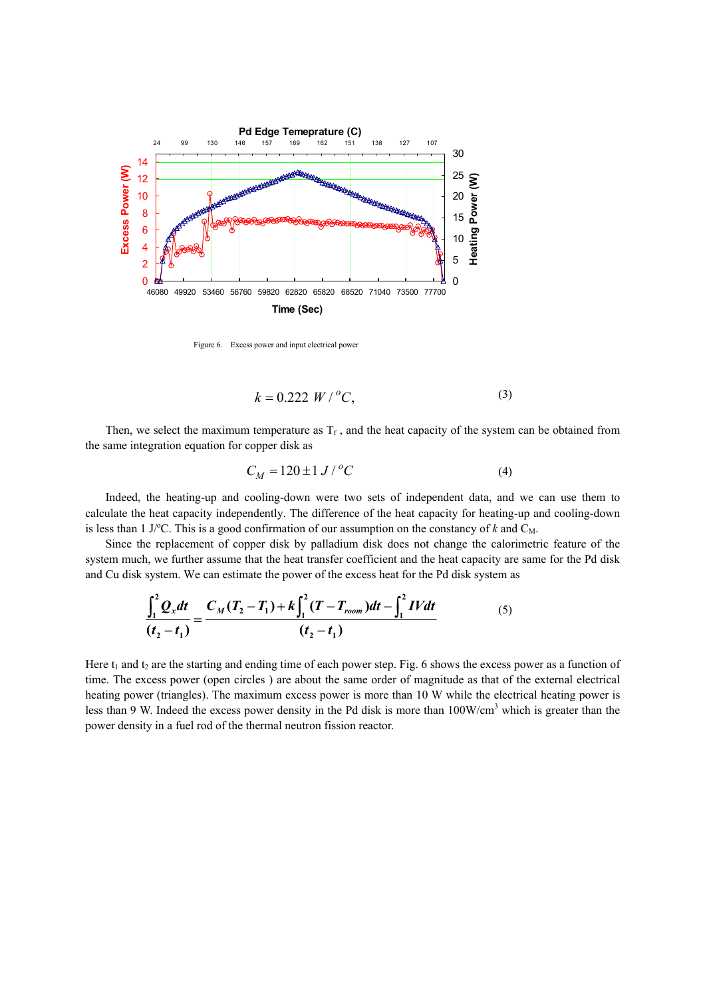

Figure 6. Excess power and input electrical power

$$
k = 0.222 \ W/{}^{o}C,
$$
 (3)

Then, we select the maximum temperature as  $T_f$ , and the heat capacity of the system can be obtained from the same integration equation for copper disk as

$$
C_M = 120 \pm 1 \, J / \, {}^oC \tag{4}
$$

Indeed, the heating-up and cooling-down were two sets of independent data, and we can use them to calculate the heat capacity independently. The difference of the heat capacity for heating-up and cooling-down is less than 1 J/°C. This is a good confirmation of our assumption on the constancy of  $k$  and  $C_M$ .

Since the replacement of copper disk by palladium disk does not change the calorimetric feature of the system much, we further assume that the heat transfer coefficient and the heat capacity are same for the Pd disk and Cu disk system. We can estimate the power of the excess heat for the Pd disk system as

$$
\frac{\int_1^2 Q_x dt}{(t_2 - t_1)} = \frac{C_M (T_2 - T_1) + k \int_1^2 (T - T_{room}) dt - \int_1^2 IV dt}{(t_2 - t_1)}
$$
(5)

Here  $t_1$  and  $t_2$  are the starting and ending time of each power step. Fig. 6 shows the excess power as a function of time. The excess power (open circles ) are about the same order of magnitude as that of the external electrical heating power (triangles). The maximum excess power is more than 10 W while the electrical heating power is less than 9 W. Indeed the excess power density in the Pd disk is more than  $100W/cm<sup>3</sup>$  which is greater than the power density in a fuel rod of the thermal neutron fission reactor.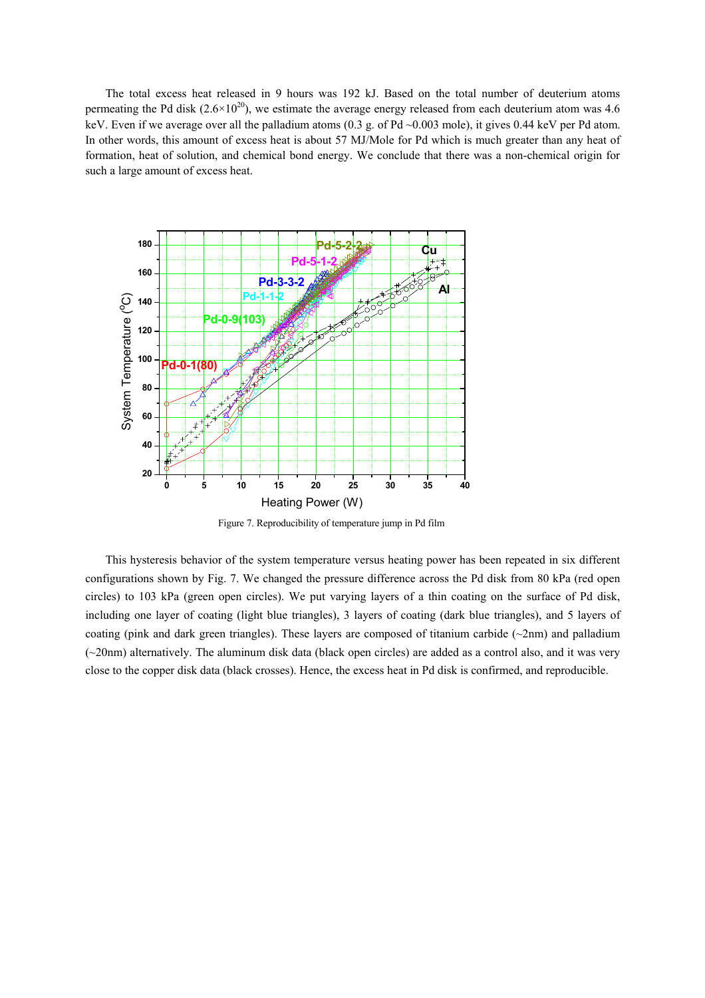The total excess heat released in 9 hours was 192 kJ. Based on the total number of deuterium atoms permeating the Pd disk  $(2.6\times10^{20})$ , we estimate the average energy released from each deuterium atom was 4.6 keV. Even if we average over all the palladium atoms (0.3 g. of Pd ~0.003 mole), it gives 0.44 keV per Pd atom. In other words, this amount of excess heat is about 57 MJ/Mole for Pd which is much greater than any heat of formation, heat of solution, and chemical bond energy. We conclude that there was a non-chemical origin for such a large amount of excess heat.



Figure 7. Reproducibility of temperature jump in Pd film

This hysteresis behavior of the system temperature versus heating power has been repeated in six different configurations shown by Fig. 7. We changed the pressure difference across the Pd disk from 80 kPa (red open circles) to 103 kPa (green open circles). We put varying layers of a thin coating on the surface of Pd disk, including one layer of coating (light blue triangles), 3 layers of coating (dark blue triangles), and 5 layers of coating (pink and dark green triangles). These layers are composed of titanium carbide  $(\sim 2$ nm) and palladium (~20nm) alternatively. The aluminum disk data (black open circles) are added as a control also, and it was very close to the copper disk data (black crosses). Hence, the excess heat in Pd disk is confirmed, and reproducible.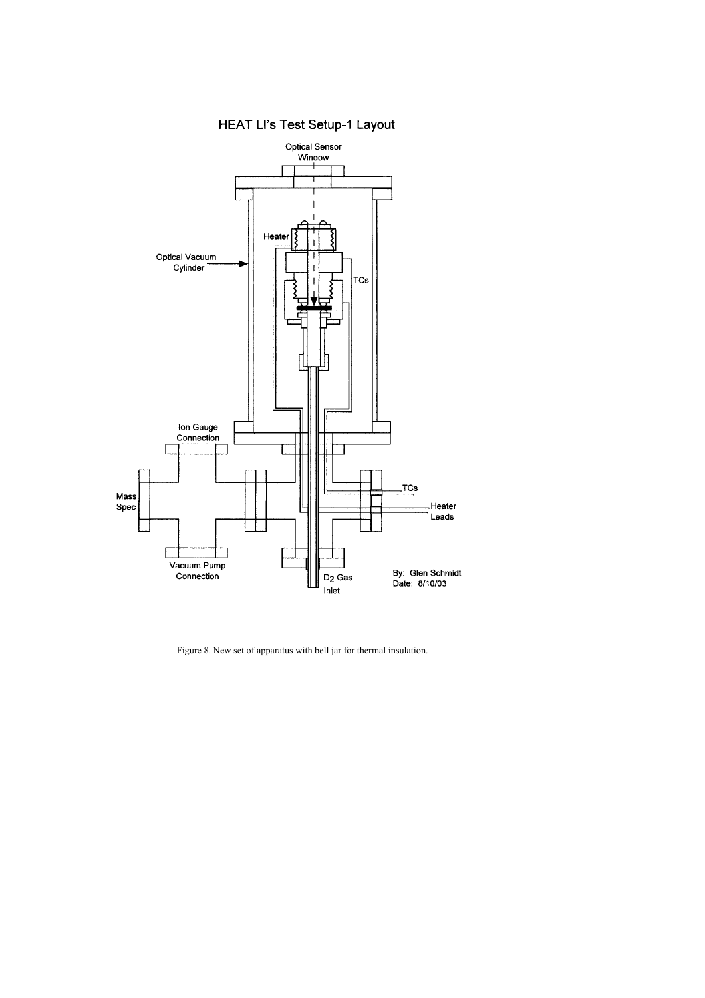

**HEAT LI's Test Setup-1 Layout** 

Figure 8. New set of apparatus with bell jar for thermal insulation.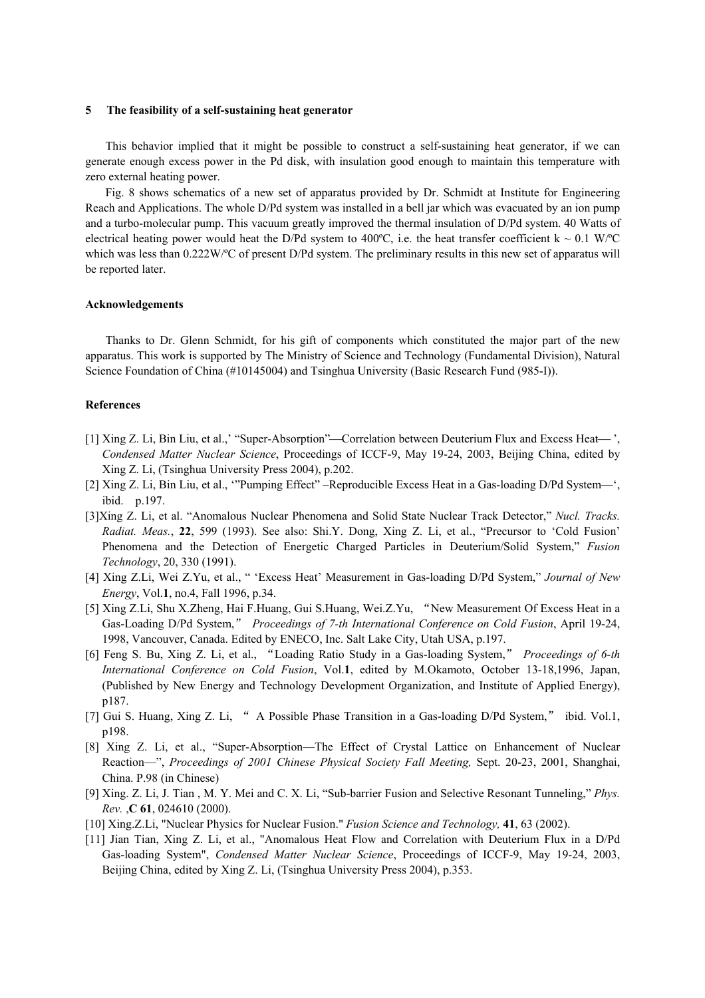#### **5 The feasibility of a self-sustaining heat generator**

This behavior implied that it might be possible to construct a self-sustaining heat generator, if we can generate enough excess power in the Pd disk, with insulation good enough to maintain this temperature with zero external heating power.

Fig. 8 shows schematics of a new set of apparatus provided by Dr. Schmidt at Institute for Engineering Reach and Applications. The whole D/Pd system was installed in a bell jar which was evacuated by an ion pump and a turbo-molecular pump. This vacuum greatly improved the thermal insulation of D/Pd system. 40 Watts of electrical heating power would heat the D/Pd system to 400°C, i.e. the heat transfer coefficient k ~ 0.1 W/°C which was less than 0.222W/°C of present D/Pd system. The preliminary results in this new set of apparatus will be reported later.

## **Acknowledgements**

Thanks to Dr. Glenn Schmidt, for his gift of components which constituted the major part of the new apparatus. This work is supported by The Ministry of Science and Technology (Fundamental Division), Natural Science Foundation of China (#10145004) and Tsinghua University (Basic Research Fund (985-I)).

#### **References**

- [1] Xing Z. Li, Bin Liu, et al.,' "Super-Absorption"—Correlation between Deuterium Flux and Excess Heat—', *Condensed Matter Nuclear Science*, Proceedings of ICCF-9, May 19-24, 2003, Beijing China, edited by Xing Z. Li, (Tsinghua University Press 2004), p.202.
- [2] Xing Z. Li, Bin Liu, et al., '"Pumping Effect" –Reproducible Excess Heat in a Gas-loading D/Pd System—', ibid. p.197.
- [3]Xing Z. Li, et al. "Anomalous Nuclear Phenomena and Solid State Nuclear Track Detector," *Nucl. Tracks. Radiat. Meas.*, **22**, 599 (1993). See also: Shi.Y. Dong, Xing Z. Li, et al., "Precursor to 'Cold Fusion' Phenomena and the Detection of Energetic Charged Particles in Deuterium/Solid System," *Fusion Technology*, 20, 330 (1991).
- [4] Xing Z.Li, Wei Z.Yu, et al., " 'Excess Heat' Measurement in Gas-loading D/Pd System," *Journal of New Energy*, Vol.**1**, no.4, Fall 1996, p.34.
- [5] Xing Z.Li, Shu X.Zheng, Hai F.Huang, Gui S.Huang, Wei.Z.Yu, "New Measurement Of Excess Heat in a Gas-Loading D/Pd System," *Proceedings of 7-th International Conference on Cold Fusion*, April 19-24, 1998, Vancouver, Canada. Edited by ENECO, Inc. Salt Lake City, Utah USA, p.197.
- [6] Feng S. Bu, Xing Z. Li, et al., "Loading Ratio Study in a Gas-loading System," *Proceedings of 6-th International Conference on Cold Fusion*, Vol.**1**, edited by M.Okamoto, October 13-18,1996, Japan, (Published by New Energy and Technology Development Organization, and Institute of Applied Energy), p187.
- [7] Gui S. Huang, Xing Z. Li, " A Possible Phase Transition in a Gas-loading D/Pd System," ibid. Vol.1, p198.
- [8] Xing Z. Li, et al., "Super-Absorption—The Effect of Crystal Lattice on Enhancement of Nuclear Reaction—", *Proceedings of 2001 Chinese Physical Society Fall Meeting,* Sept. 20-23, 2001, Shanghai, China. P.98 (in Chinese)
- [9] Xing. Z. Li, J. Tian , M. Y. Mei and C. X. Li, "Sub-barrier Fusion and Selective Resonant Tunneling," *Phys. Rev.* ,**C 61**, 024610 (2000).
- [10] Xing.Z.Li, "Nuclear Physics for Nuclear Fusion." *Fusion Science and Technology,* **41**, 63 (2002).
- [11] Jian Tian, Xing Z. Li, et al., "Anomalous Heat Flow and Correlation with Deuterium Flux in a D/Pd Gas-loading System", *Condensed Matter Nuclear Science*, Proceedings of ICCF-9, May 19-24, 2003, Beijing China, edited by Xing Z. Li, (Tsinghua University Press 2004), p.353.